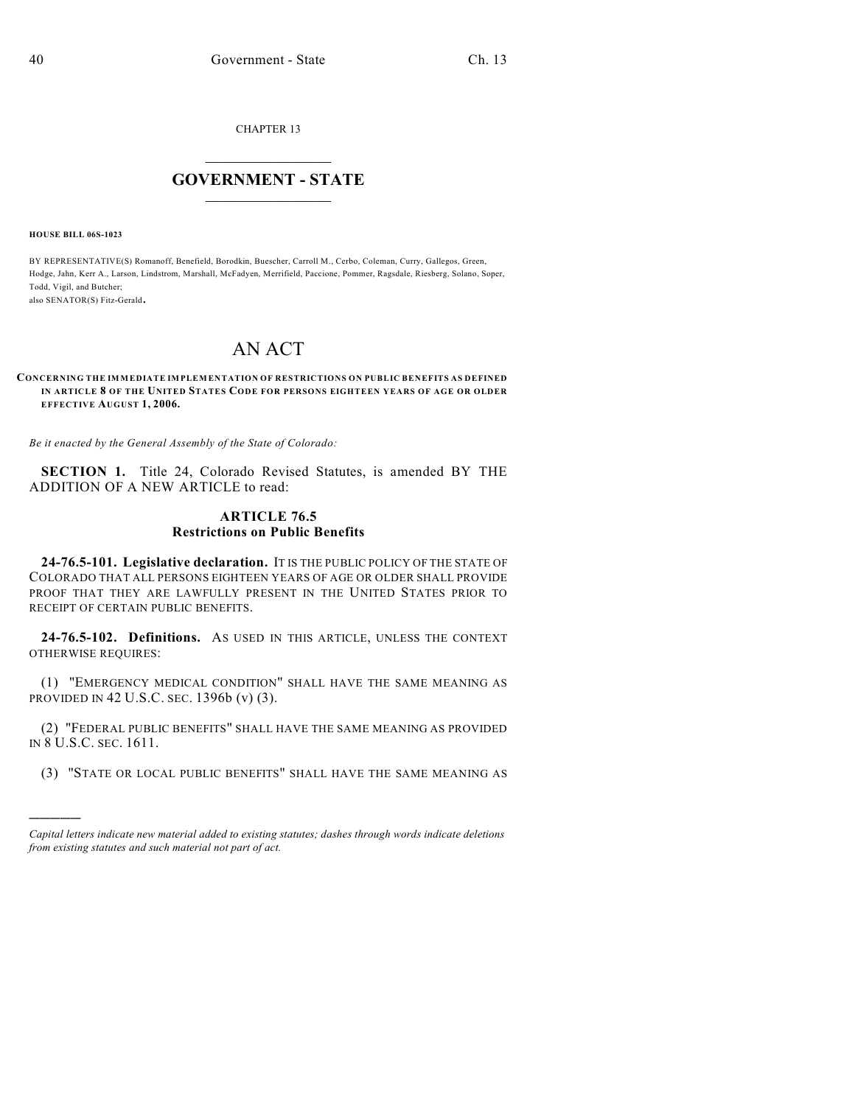CHAPTER 13

## $\overline{\phantom{a}}$  . The set of the set of the set of the set of the set of the set of the set of the set of the set of the set of the set of the set of the set of the set of the set of the set of the set of the set of the set o **GOVERNMENT - STATE**  $\_$

**HOUSE BILL 06S-1023**

)))))

BY REPRESENTATIVE(S) Romanoff, Benefield, Borodkin, Buescher, Carroll M., Cerbo, Coleman, Curry, Gallegos, Green, Hodge, Jahn, Kerr A., Larson, Lindstrom, Marshall, McFadyen, Merrifield, Paccione, Pommer, Ragsdale, Riesberg, Solano, Soper, Todd, Vigil, and Butcher; also SENATOR(S) Fitz-Gerald.

## AN ACT

## **CONCERNING THE IMMEDIATE IMPLEMENTATION OF RESTRICTIONS ON PUBLIC BENEFITS AS DEFINED IN ARTICLE 8 OF THE UNITED STATES CODE FOR PERSONS EIGHTEEN YEARS OF AGE OR OLDER EFFECTIVE AUGUST 1, 2006.**

*Be it enacted by the General Assembly of the State of Colorado:*

**SECTION 1.** Title 24, Colorado Revised Statutes, is amended BY THE ADDITION OF A NEW ARTICLE to read:

## **ARTICLE 76.5 Restrictions on Public Benefits**

**24-76.5-101. Legislative declaration.** IT IS THE PUBLIC POLICY OF THE STATE OF COLORADO THAT ALL PERSONS EIGHTEEN YEARS OF AGE OR OLDER SHALL PROVIDE PROOF THAT THEY ARE LAWFULLY PRESENT IN THE UNITED STATES PRIOR TO RECEIPT OF CERTAIN PUBLIC BENEFITS.

**24-76.5-102. Definitions.** AS USED IN THIS ARTICLE, UNLESS THE CONTEXT OTHERWISE REQUIRES:

(1) "EMERGENCY MEDICAL CONDITION" SHALL HAVE THE SAME MEANING AS PROVIDED IN 42 U.S.C. SEC. 1396b (v) (3).

(2) "FEDERAL PUBLIC BENEFITS" SHALL HAVE THE SAME MEANING AS PROVIDED IN 8 U.S.C. SEC. 1611.

(3) "STATE OR LOCAL PUBLIC BENEFITS" SHALL HAVE THE SAME MEANING AS

*Capital letters indicate new material added to existing statutes; dashes through words indicate deletions from existing statutes and such material not part of act.*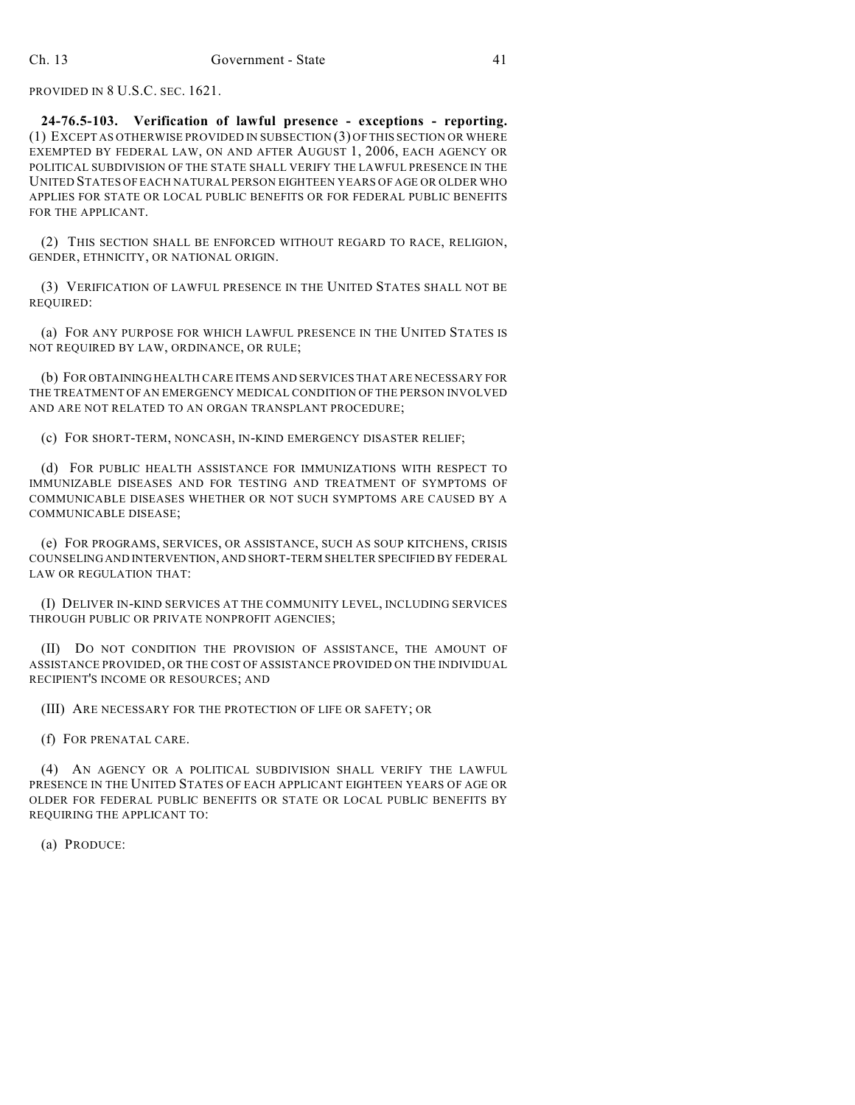PROVIDED IN 8 U.S.C. SEC. 1621.

**24-76.5-103. Verification of lawful presence - exceptions - reporting.** (1) EXCEPT AS OTHERWISE PROVIDED IN SUBSECTION (3) OFTHIS SECTION OR WHERE EXEMPTED BY FEDERAL LAW, ON AND AFTER AUGUST 1, 2006, EACH AGENCY OR POLITICAL SUBDIVISION OF THE STATE SHALL VERIFY THE LAWFUL PRESENCE IN THE UNITED STATES OFEACH NATURAL PERSON EIGHTEEN YEARS OF AGE OR OLDER WHO APPLIES FOR STATE OR LOCAL PUBLIC BENEFITS OR FOR FEDERAL PUBLIC BENEFITS FOR THE APPLICANT.

(2) THIS SECTION SHALL BE ENFORCED WITHOUT REGARD TO RACE, RELIGION, GENDER, ETHNICITY, OR NATIONAL ORIGIN.

(3) VERIFICATION OF LAWFUL PRESENCE IN THE UNITED STATES SHALL NOT BE REQUIRED:

(a) FOR ANY PURPOSE FOR WHICH LAWFUL PRESENCE IN THE UNITED STATES IS NOT REQUIRED BY LAW, ORDINANCE, OR RULE;

(b) FOR OBTAINING HEALTH CARE ITEMS AND SERVICES THAT ARE NECESSARY FOR THE TREATMENT OF AN EMERGENCY MEDICAL CONDITION OF THE PERSON INVOLVED AND ARE NOT RELATED TO AN ORGAN TRANSPLANT PROCEDURE;

(c) FOR SHORT-TERM, NONCASH, IN-KIND EMERGENCY DISASTER RELIEF;

(d) FOR PUBLIC HEALTH ASSISTANCE FOR IMMUNIZATIONS WITH RESPECT TO IMMUNIZABLE DISEASES AND FOR TESTING AND TREATMENT OF SYMPTOMS OF COMMUNICABLE DISEASES WHETHER OR NOT SUCH SYMPTOMS ARE CAUSED BY A COMMUNICABLE DISEASE;

(e) FOR PROGRAMS, SERVICES, OR ASSISTANCE, SUCH AS SOUP KITCHENS, CRISIS COUNSELING AND INTERVENTION, AND SHORT-TERM SHELTER SPECIFIED BY FEDERAL LAW OR REGULATION THAT:

(I) DELIVER IN-KIND SERVICES AT THE COMMUNITY LEVEL, INCLUDING SERVICES THROUGH PUBLIC OR PRIVATE NONPROFIT AGENCIES;

(II) DO NOT CONDITION THE PROVISION OF ASSISTANCE, THE AMOUNT OF ASSISTANCE PROVIDED, OR THE COST OF ASSISTANCE PROVIDED ON THE INDIVIDUAL RECIPIENT'S INCOME OR RESOURCES; AND

(III) ARE NECESSARY FOR THE PROTECTION OF LIFE OR SAFETY; OR

(f) FOR PRENATAL CARE.

(4) AN AGENCY OR A POLITICAL SUBDIVISION SHALL VERIFY THE LAWFUL PRESENCE IN THE UNITED STATES OF EACH APPLICANT EIGHTEEN YEARS OF AGE OR OLDER FOR FEDERAL PUBLIC BENEFITS OR STATE OR LOCAL PUBLIC BENEFITS BY REQUIRING THE APPLICANT TO:

(a) PRODUCE: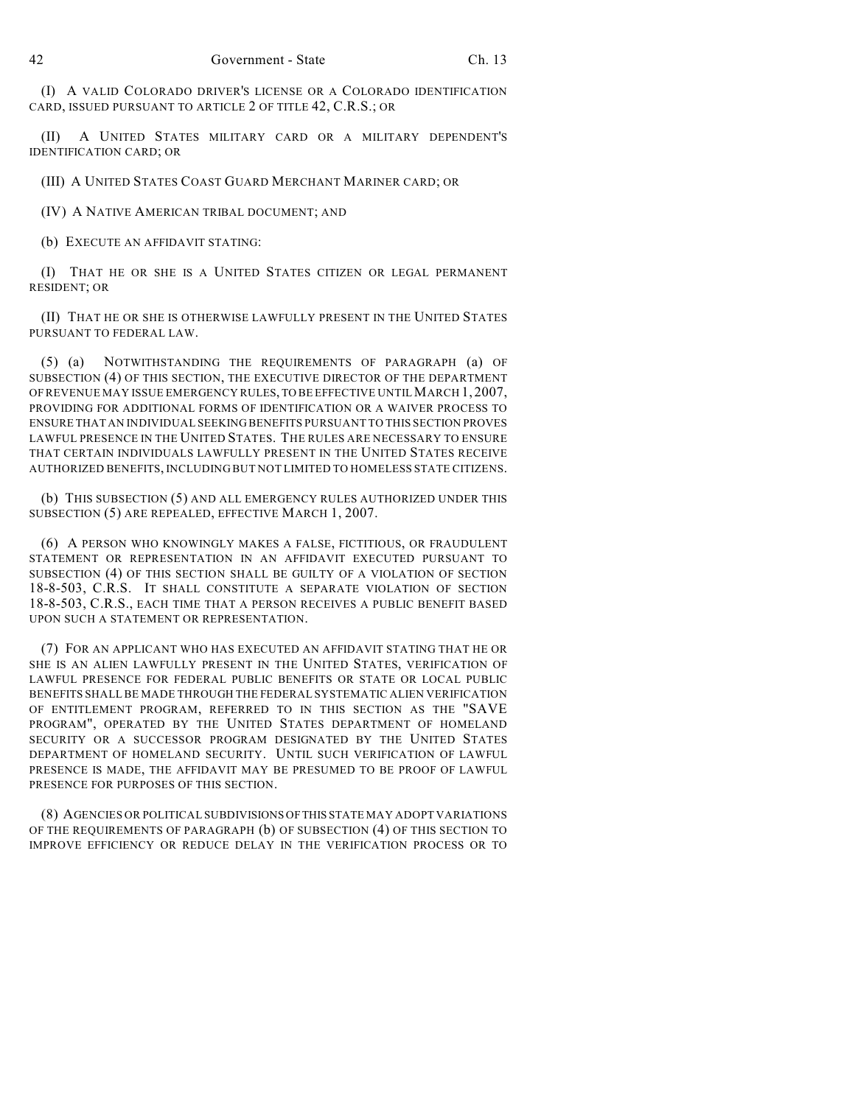(I) A VALID COLORADO DRIVER'S LICENSE OR A COLORADO IDENTIFICATION CARD, ISSUED PURSUANT TO ARTICLE 2 OF TITLE 42, C.R.S.; OR

(II) A UNITED STATES MILITARY CARD OR A MILITARY DEPENDENT'S IDENTIFICATION CARD; OR

(III) A UNITED STATES COAST GUARD MERCHANT MARINER CARD; OR

(IV) A NATIVE AMERICAN TRIBAL DOCUMENT; AND

(b) EXECUTE AN AFFIDAVIT STATING:

(I) THAT HE OR SHE IS A UNITED STATES CITIZEN OR LEGAL PERMANENT RESIDENT; OR

(II) THAT HE OR SHE IS OTHERWISE LAWFULLY PRESENT IN THE UNITED STATES PURSUANT TO FEDERAL LAW.

(5) (a) NOTWITHSTANDING THE REQUIREMENTS OF PARAGRAPH (a) OF SUBSECTION (4) OF THIS SECTION, THE EXECUTIVE DIRECTOR OF THE DEPARTMENT OF REVENUE MAY ISSUE EMERGENCY RULES, TO BE EFFECTIVE UNTIL MARCH 1, 2007, PROVIDING FOR ADDITIONAL FORMS OF IDENTIFICATION OR A WAIVER PROCESS TO ENSURE THAT AN INDIVIDUAL SEEKING BENEFITS PURSUANT TO THIS SECTION PROVES LAWFUL PRESENCE IN THE UNITED STATES. THE RULES ARE NECESSARY TO ENSURE THAT CERTAIN INDIVIDUALS LAWFULLY PRESENT IN THE UNITED STATES RECEIVE AUTHORIZED BENEFITS, INCLUDING BUT NOT LIMITED TO HOMELESS STATE CITIZENS.

(b) THIS SUBSECTION (5) AND ALL EMERGENCY RULES AUTHORIZED UNDER THIS SUBSECTION (5) ARE REPEALED, EFFECTIVE MARCH 1, 2007.

(6) A PERSON WHO KNOWINGLY MAKES A FALSE, FICTITIOUS, OR FRAUDULENT STATEMENT OR REPRESENTATION IN AN AFFIDAVIT EXECUTED PURSUANT TO SUBSECTION (4) OF THIS SECTION SHALL BE GUILTY OF A VIOLATION OF SECTION 18-8-503, C.R.S. IT SHALL CONSTITUTE A SEPARATE VIOLATION OF SECTION 18-8-503, C.R.S., EACH TIME THAT A PERSON RECEIVES A PUBLIC BENEFIT BASED UPON SUCH A STATEMENT OR REPRESENTATION.

(7) FOR AN APPLICANT WHO HAS EXECUTED AN AFFIDAVIT STATING THAT HE OR SHE IS AN ALIEN LAWFULLY PRESENT IN THE UNITED STATES, VERIFICATION OF LAWFUL PRESENCE FOR FEDERAL PUBLIC BENEFITS OR STATE OR LOCAL PUBLIC BENEFITS SHALL BE MADE THROUGH THE FEDERAL SYSTEMATIC ALIEN VERIFICATION OF ENTITLEMENT PROGRAM, REFERRED TO IN THIS SECTION AS THE "SAVE PROGRAM", OPERATED BY THE UNITED STATES DEPARTMENT OF HOMELAND SECURITY OR A SUCCESSOR PROGRAM DESIGNATED BY THE UNITED STATES DEPARTMENT OF HOMELAND SECURITY. UNTIL SUCH VERIFICATION OF LAWFUL PRESENCE IS MADE, THE AFFIDAVIT MAY BE PRESUMED TO BE PROOF OF LAWFUL PRESENCE FOR PURPOSES OF THIS SECTION.

(8) AGENCIES OR POLITICAL SUBDIVISIONS OF THIS STATE MAY ADOPT VARIATIONS OF THE REQUIREMENTS OF PARAGRAPH (b) OF SUBSECTION (4) OF THIS SECTION TO IMPROVE EFFICIENCY OR REDUCE DELAY IN THE VERIFICATION PROCESS OR TO